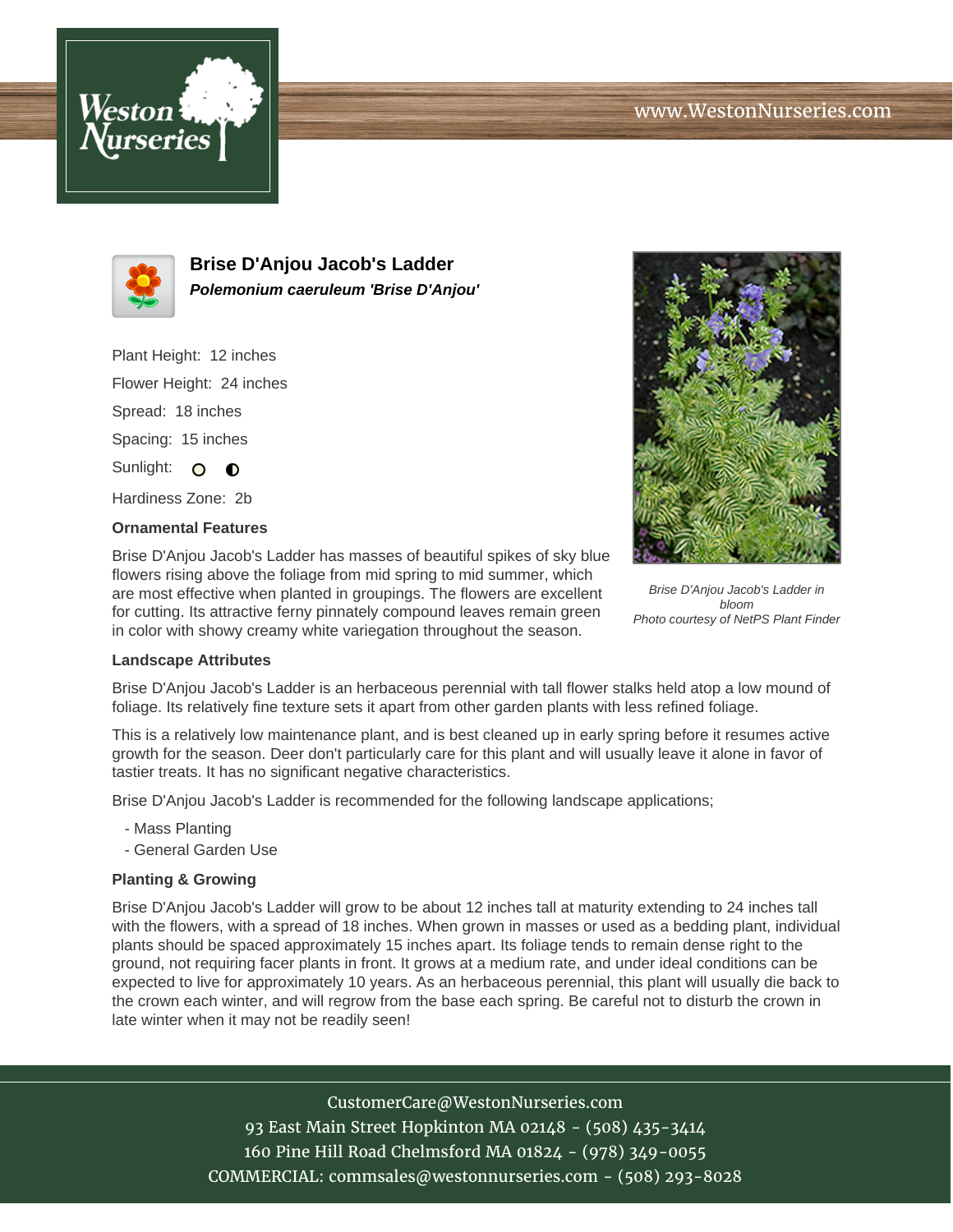



**Brise D'Anjou Jacob's Ladder Polemonium caeruleum 'Brise D'Anjou'**

Plant Height: 12 inches Flower Height: 24 inches Spread: 18 inches Spacing: 15 inches Sunlight: O **O** 

Hardiness Zone: 2b

## **Ornamental Features**

Brise D'Anjou Jacob's Ladder has masses of beautiful spikes of sky blue flowers rising above the foliage from mid spring to mid summer, which are most effective when planted in groupings. The flowers are excellent for cutting. Its attractive ferny pinnately compound leaves remain green in color with showy creamy white variegation throughout the season.



Brise D'Anjou Jacob's Ladder in bloom Photo courtesy of NetPS Plant Finder

## **Landscape Attributes**

Brise D'Anjou Jacob's Ladder is an herbaceous perennial with tall flower stalks held atop a low mound of foliage. Its relatively fine texture sets it apart from other garden plants with less refined foliage.

This is a relatively low maintenance plant, and is best cleaned up in early spring before it resumes active growth for the season. Deer don't particularly care for this plant and will usually leave it alone in favor of tastier treats. It has no significant negative characteristics.

Brise D'Anjou Jacob's Ladder is recommended for the following landscape applications;

- Mass Planting
- General Garden Use

## **Planting & Growing**

Brise D'Anjou Jacob's Ladder will grow to be about 12 inches tall at maturity extending to 24 inches tall with the flowers, with a spread of 18 inches. When grown in masses or used as a bedding plant, individual plants should be spaced approximately 15 inches apart. Its foliage tends to remain dense right to the ground, not requiring facer plants in front. It grows at a medium rate, and under ideal conditions can be expected to live for approximately 10 years. As an herbaceous perennial, this plant will usually die back to the crown each winter, and will regrow from the base each spring. Be careful not to disturb the crown in late winter when it may not be readily seen!

## CustomerCare@WestonNurseries.com

93 East Main Street Hopkinton MA 02148 - (508) 435-3414 160 Pine Hill Road Chelmsford MA 01824 - (978) 349-0055 COMMERCIAL: commsales@westonnurseries.com - (508) 293-8028